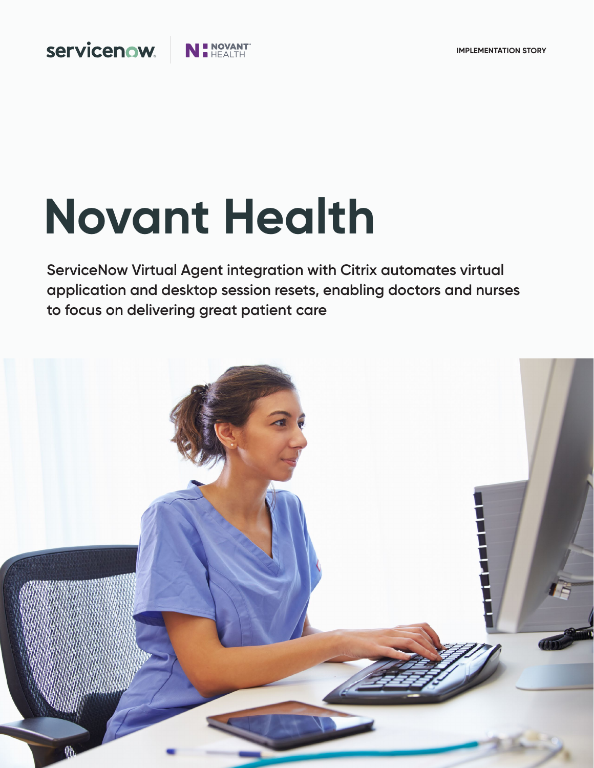

# **Novant Health**

**I NOVANT** 

**ServiceNow Virtual Agent integration with Citrix automates virtual application and desktop session resets, enabling doctors and nurses to focus on delivering great patient care**

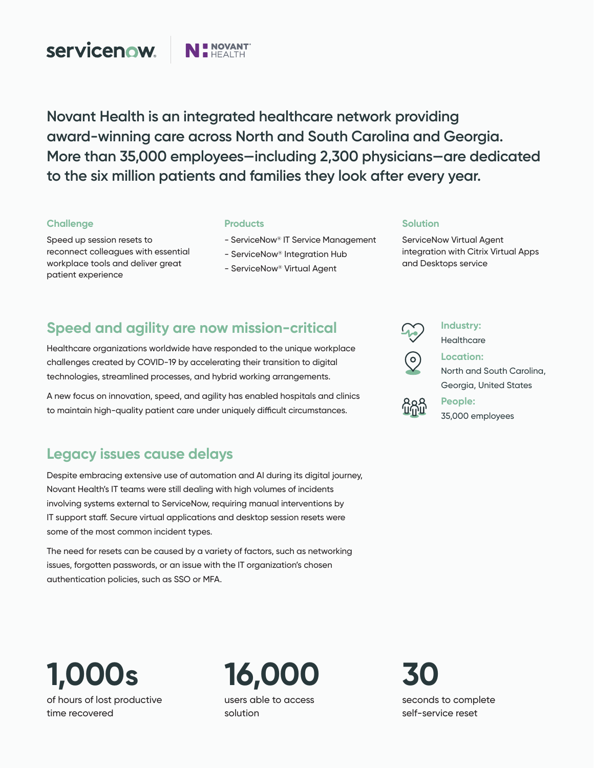

**Novant Health is an integrated healthcare network providing award-winning care across North and South Carolina and Georgia. More than 35,000 employees—including 2,300 physicians—are dedicated to the six million patients and families they look after every year.**

### **Challenge**

Speed up session resets to reconnect colleagues with essential workplace tools and deliver great patient experience

### **Products**

- ServiceNow® IT Service Management
- ServiceNow® Integration Hub
- ServiceNow® Virtual Agent

### **Solution**

ServiceNow [Virtual Agent](https://www.servicenow.com/products/virtual-agent.html) integration with Citrix Virtual Apps and Desktops service

# **Speed and agility are now mission-critical**

Healthcare organizations worldwide have responded to the unique workplace challenges created by COVID-19 by accelerating their transition to digital technologies, streamlined processes, and hybrid working arrangements.

A new focus on innovation, speed, and agility has enabled hospitals and clinics to maintain high-quality patient care under uniquely difficult circumstances.

### **Legacy issues cause delays**

Despite embracing extensive use of automation and AI during its digital journey, Novant Health's IT teams were still dealing with high volumes of incidents involving systems external to ServiceNow, requiring manual interventions by IT support staff. Secure virtual applications and desktop session resets were some of the most common incident types.

The need for resets can be caused by a variety of factors, such as networking issues, forgotten passwords, or an issue with the IT organization's chosen authentication policies, such as SSO or MFA.

**Industry: Healthcare** 



**Location:**  North and South Carolina, Georgia, United States

**People:**  35,000 employees

**1,000s** of hours of lost productive time recovered

**16,000** users able to access solution

**30** seconds to complete self-service reset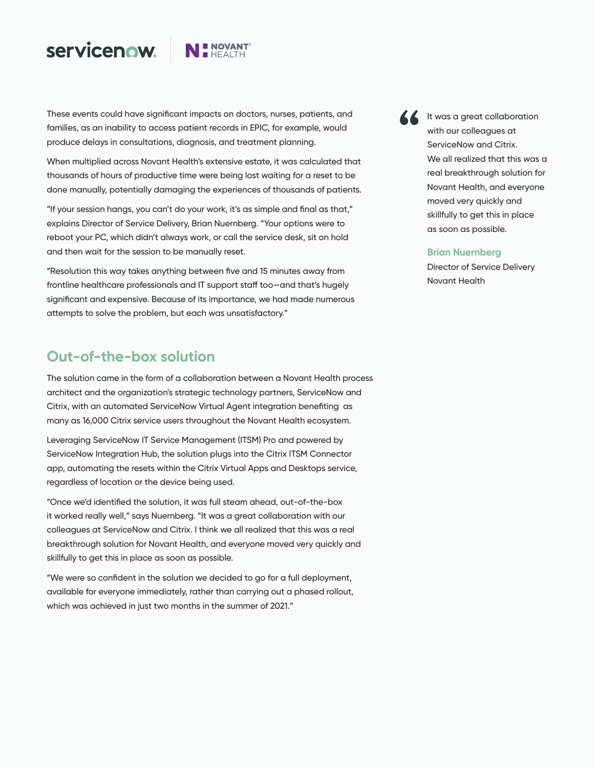# servicenow.



These events could have significant impacts on doctors, nurses, patients, and families, as an inability to access patient records in EPIC, for example, would produce delays in consultations, diagnosis, and treatment planning.

When multiplied across Novant Health's extensive estate, it was calculated that thousands of hours of productive time were being lost waiting for a reset to be done manually, potentially damaging the experiences of thousands of patients.

"If your session hangs, you can't do your work, it's as simple and final as that," explains Director of Service Delivery, Brian Nuernberg. "Your options were to reboot your PC, which didn't always work, or call the service desk, sit on hold and then wait for the session to be manually reset.

"Resolution this way takes anything between five and 15 minutes away from frontline healthcare professionals and IT support staff too—and that's hugely significant and expensive. Because of its importance, we had made numerous attempts to solve the problem, but each was unsatisfactory."

### **Out-of-the-box solution**

The solution came in the form of a collaboration between a Novant Health process architect and the organization's strategic technology partners, ServiceNow and Citrix, with an automated ServiceNow [Virtual Agent](https://www.servicenow.com/products/virtual-agent.html) integration benefiting as many as 16,000 Citrix service users throughout the Novant Health ecosystem.

Leveraging ServiceNow [IT Service Ma](https://www.servicenow.com/products/itsm/what-is-itsm.html)nagement (ITSM) Pro and powered by ServiceNow Integration Hub, the solution plugs into the Citrix ITSM Connector app, automating the resets within the Citrix Virtual Apps and Desktops service, regardless of location or the device being used.

"Once we'd identified the solution, it was full steam ahead, out-of-the-box it worked really well," says Nuernberg. "It was a great collaboration with our colleagues at ServiceNow and Citrix. I think we all realized that this was a real breakthrough solution for Novant Health, and everyone moved very quickly and skillfully to get this in place as soon as possible.

"We were so confident in the solution we decided to go for a full deployment, available for everyone immediately, rather than carrying out a phased rollout, which was achieved in just two months in the summer of 2021."

**A It was a great collaboration** with our colleagues at ServiceNow and Citrix. We all realized that this was a real breakthrough solution for Novant Health, and everyone moved very quickly and skillfully to get this in place as soon as possible.

#### **Brian Nuernberg**

Director of Service Delivery Novant Health